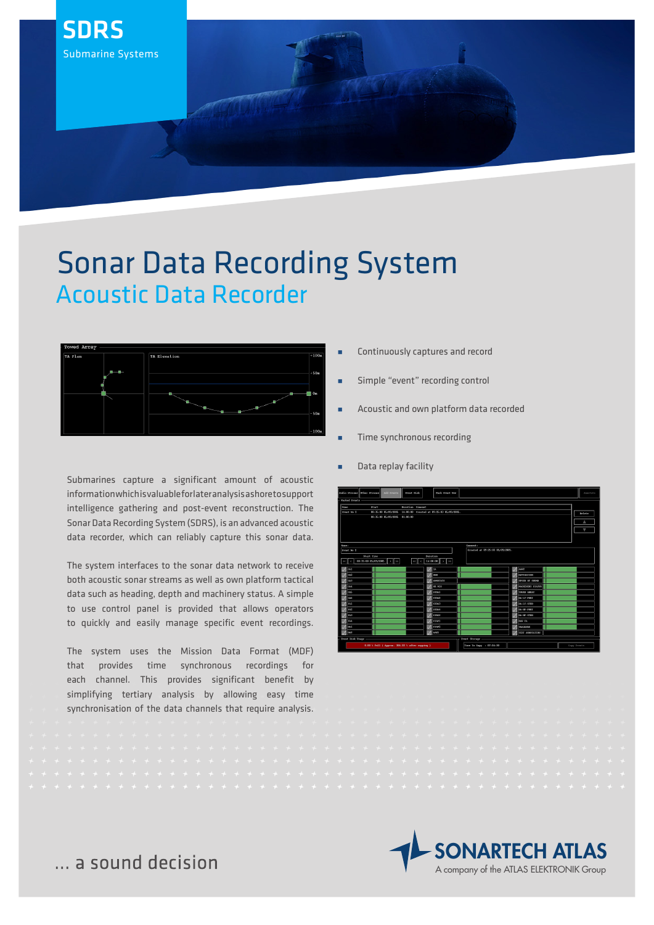

## Sonar Data Recording System Acoustic Data Recorder



Submarines capture a significant amount of acoustic information which is valuable for later analysis ashore to support intelligence gathering and post-event reconstruction. The Sonar Data Recording System (SDRS), is an advanced acoustic data recorder, which can reliably capture this sonar data.

The system interfaces to the sonar data network to receive both acoustic sonar streams as well as own platform tactical data such as heading, depth and machinery status. A simple to use control panel is provided that allows operators to quickly and easily manage specific event recordings.

The system uses the Mission Data Format (MDF) that provides time synchronous recordings for each channel. This provides significant benefit by simplifying tertiary analysis by allowing easy time synchronisation of the data channels that require analysis.

- Continuously captures and record
- **Simple "event" recording control**
- Acoustic and own platform data recorded
- Time synchronous recording
- Data replay facility

| Add Iventy<br>Andio Streamy dther Streamy<br>Ivant Disk                      | <b>Kark Ivent Nov</b>                   | Amptate            |  |  |
|------------------------------------------------------------------------------|-----------------------------------------|--------------------|--|--|
| Narked Eventy -                                                              |                                         |                    |  |  |
| Name<br>Start<br>Ducation Convent                                            |                                         |                    |  |  |
| Frrest No. 2<br>03:35:00 05/09/2005 14:00:00 Created at 03:25:03 05/09/2005. |                                         | Delete             |  |  |
| 08:35:00 05/09/2005 01:00:00                                                 |                                         |                    |  |  |
|                                                                              |                                         | Δ                  |  |  |
|                                                                              |                                         | Δ                  |  |  |
|                                                                              |                                         |                    |  |  |
|                                                                              |                                         |                    |  |  |
| Name:                                                                        | Comment:                                |                    |  |  |
| Event No 2                                                                   | Created at 09:25:03 05/09/2005.         |                    |  |  |
| Start Time                                                                   | Docation                                |                    |  |  |
| 08:35:00 05/09/2005<br>l »<br>$\alpha$<br>۰,<br>$\alpha$                     | 14:00:00<br>$\gg$<br>$\rightarrow$      |                    |  |  |
| <b>CA1</b>                                                                   | <b>ZA</b>                               | AW2                |  |  |
| llase                                                                        | <b>SSM</b>                              | <b>NAVIGATION</b>  |  |  |
| <b>CAS</b>                                                                   | <b>ANNUTATE</b>                         | SPEED OF SOUND     |  |  |
| <b>CA4</b>                                                                   | CH NIG                                  | KAIBERNZEY STATUS  |  |  |
| <b>RAS</b>                                                                   | smA1                                    | TOWED ASSAY        |  |  |
| <b>RAS</b>                                                                   | smv2                                    | BA-LY-PIRT         |  |  |
| <b>FAI</b>                                                                   | STIM3                                   | BA-LY-STED         |  |  |
|                                                                              |                                         |                    |  |  |
| <b>FA2</b>                                                                   | STIM4                                   | <b>BA-20'-PORT</b> |  |  |
| <b>FA3</b>                                                                   | CIRCE                                   | BA-10'-STED        |  |  |
| <b>FA4</b>                                                                   | <b>CTAP1</b>                            | <b>BAN YA</b>      |  |  |
| <b>TALE</b>                                                                  | CTAP2                                   | <b>TRACKIDES</b>   |  |  |
| nu2                                                                          | <b>NAVI</b><br>$\overline{\phantom{a}}$ | TEXT ANNITATION    |  |  |
| <b>Ivent Disk Usage -</b>                                                    | Event Storage -                         |                    |  |  |
| $0.00$ % Full ( Approx. 306.22 % after copying )                             | Time To Copy : 07:24:30                 | Copy Iventy        |  |  |



... a sound decision